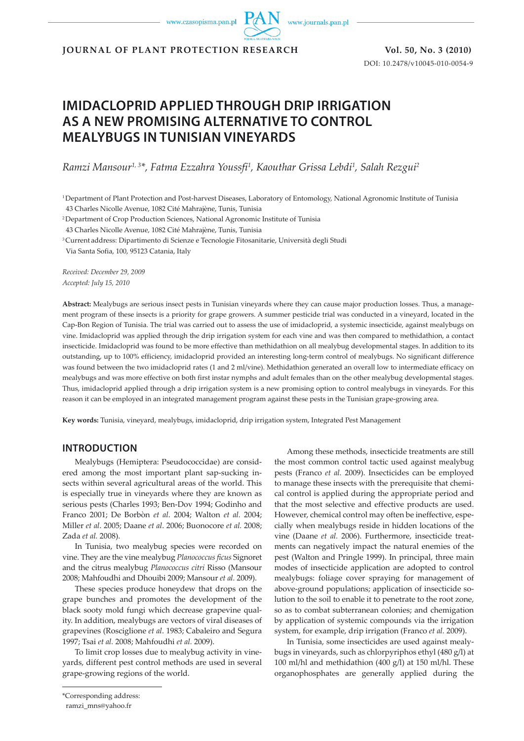www.czasopisma.pan.pl



**JOURNAL OF PLANT PROTECTION RESEARCH Vol. 50, No. 3 (2010)**

DOI: 10.2478/v10045-010-0054-9

# **IMIDACLOPRID APPLIED THROUGH DRIP IRRIGATION AS A NEW PROMISING ALTERNATIVE TO CONTROL MEALYBUGS IN TUNISIAN VINEYARDS**

*Ramzi Mansour1, 3\*, Fatma Ezzahra Youssfi1 , Kaouthar Grissa Lebdi1 , Salah Rezgui2*

<sup>1</sup> Department of Plant Protection and Post-harvest Diseases, Laboratory of Entomology, National Agronomic Institute of Tunisia 43 Charles Nicolle Avenue, 1082 Cité Mahrajène, Tunis, Tunisia

<sup>2</sup> Department of Crop Production Sciences, National Agronomic Institute of Tunisia

43 Charles Nicolle Avenue, 1082 Cité Mahrajène, Tunis, Tunisia

3 Current address: Dipartimento di Scienze e Tecnologie Fitosanitarie, Università degli Studi

Via Santa Sofia, 100, 95123 Catania, Italy

*Received: December 29, 2009 Accepted: July 15, 2010*

**Abstract:** Mealybugs are serious insect pests in Tunisian vineyards where they can cause major production losses. Thus, a management program of these insects is a priority for grape growers. A summer pesticide trial was conducted in a vineyard, located in the Cap-Bon Region of Tunisia. The trial was carried out to assess the use of imidacloprid, a systemic insecticide, against mealybugs on vine. Imidacloprid was applied through the drip irrigation system for each vine and was then compared to methidathion, a contact insecticide. Imidacloprid was found to be more effective than methidathion on all mealybug developmental stages. In addition to its outstanding, up to 100% efficiency, imidacloprid provided an interesting long-term control of mealybugs. No significant difference was found between the two imidacloprid rates (1 and 2 ml/vine). Methidathion generated an overall low to intermediate efficacy on mealybugs and was more effective on both first instar nymphs and adult females than on the other mealybug developmental stages. Thus, imidacloprid applied through a drip irrigation system is a new promising option to control mealybugs in vineyards. For this reason it can be employed in an integrated management program against these pests in the Tunisian grape-growing area.

**Key words:** Tunisia, vineyard, mealybugs, imidacloprid, drip irrigation system, Integrated Pest Management

## **INTRODUCTION**

Mealybugs (Hemiptera: Pseudococcidae) are considered among the most important plant sap-sucking insects within several agricultural areas of the world. This is especially true in vineyards where they are known as serious pests (Charles 1993; Ben-Dov 1994; Godinho and Franco 2001; De Borbòn *et al*. 2004; Walton *et al.* 2004; Miller *et al*. 2005; Daane *et al*. 2006; Buonocore *et al.* 2008; Zada *et al.* 2008).

In Tunisia, two mealybug species were recorded on vine. They are the vine mealybug *Planococcus ficus* Signoret and the citrus mealybug *Planococcus citri* Risso (Mansour 2008; Mahfoudhi and Dhouibi 2009; Mansour *et al.* 2009).

These species produce honeydew that drops on the grape bunches and promotes the development of the black sooty mold fungi which decrease grapevine quality. In addition, mealybugs are vectors of viral diseases of grapevines (Rosciglione *et al*. 1983; Cabaleiro and Segura 1997; Tsai *et al.* 2008; Mahfoudhi *et al.* 2009).

To limit crop losses due to mealybug activity in vineyards, different pest control methods are used in several grape-growing regions of the world.

Among these methods, insecticide treatments are still the most common control tactic used against mealybug pests (Franco *et al.* 2009). Insecticides can be employed to manage these insects with the prerequisite that chemical control is applied during the appropriate period and that the most selective and effective products are used. However, chemical control may often be ineffective, especially when mealybugs reside in hidden locations of the vine (Daane *et al.* 2006). Furthermore, insecticide treatments can negatively impact the natural enemies of the pest (Walton and Pringle 1999). In principal, three main modes of insecticide application are adopted to control mealybugs: foliage cover spraying for management of above-ground populations; application of insecticide solution to the soil to enable it to penetrate to the root zone, so as to combat subterranean colonies; and chemigation by application of systemic compounds via the irrigation system, for example, drip irrigation (Franco *et al.* 2009).

In Tunisia, some insecticides are used against mealybugs in vineyards, such as chlorpyriphos ethyl (480 g/l) at 100 ml/hl and methidathion (400 g/l) at 150 ml/hl. These organophosphates are generally applied during the

<sup>\*</sup>Corresponding address:

ramzi\_mns@yahoo.fr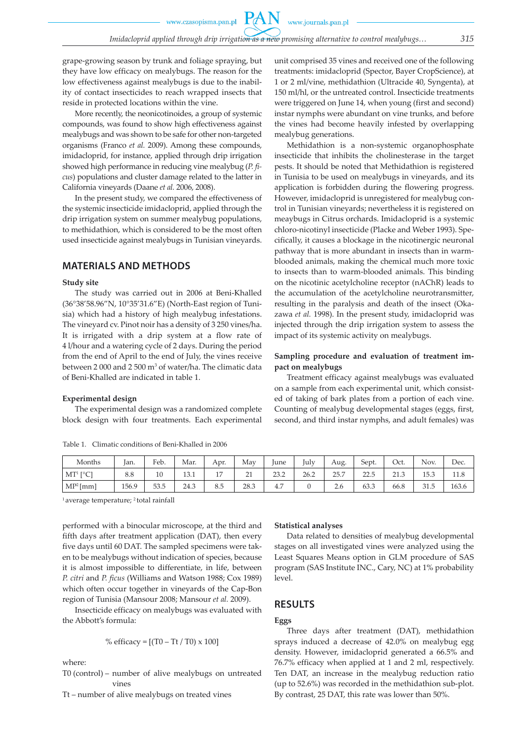PA

grape-growing season by trunk and foliage spraying, but they have low efficacy on mealybugs. The reason for the low effectiveness against mealybugs is due to the inability of contact insecticides to reach wrapped insects that reside in protected locations within the vine.

More recently, the neonicotinoides, a group of systemic compounds, was found to show high effectiveness against mealybugs and was shown to be safe for other non-targeted organisms (Franco *et al.* 2009). Among these compounds, imidacloprid, for instance, applied through drip irrigation showed high performance in reducing vine mealybug (*P. ficus*) populations and cluster damage related to the latter in California vineyards (Daane *et al.* 2006, 2008).

In the present study, we compared the effectiveness of the systemic insecticide imidacloprid, applied through the drip irrigation system on summer mealybug populations, to methidathion, which is considered to be the most often used insecticide against mealybugs in Tunisian vineyards.

## **MATERIALS AND METHODS**

#### **Study site**

The study was carried out in 2006 at Beni-Khalled (36°38'58.96"N, 10°35'31.6"E) (North-East region of Tunisia) which had a history of high mealybug infestations. The vineyard cv. Pinot noir has a density of 3 250 vines/ha. It is irrigated with a drip system at a flow rate of 4 l/hour and a watering cycle of 2 days. During the period from the end of April to the end of July, the vines receive between 2 000 and 2 500 m<sup>3</sup> of water/ha. The climatic data of Beni-Khalled are indicated in table 1.

#### **Experimental design**

The experimental design was a randomized complete block design with four treatments. Each experimental

Table 1. Climatic conditions of Beni-Khalled in 2006

| Months               | Ian.  | Feb. | Mar.                | Apr.     | May                   | Iune | July | Aug. | Sept.       | Oct.              | Nov.                 | Dec.         |
|----------------------|-------|------|---------------------|----------|-----------------------|------|------|------|-------------|-------------------|----------------------|--------------|
| MT <sup>1</sup> [°C] | 8.8   | 10   | $1^{\circ}$<br>10.1 | <b>*</b> | $^{\sim}$<br>$\angle$ | 23.2 | 26.2 | 25.7 | 22E<br>44.J | $^{\sim}$<br>41.J | 15.3                 | 11 0<br>11.0 |
| $MP^2$ [mm]          | 156.9 | 53.5 | 24.3                | 8.5      | 28.3                  | 4.7  |      | 2.6  | 63.3        | 66.8              | $\mathbf{C}$<br>31.J | 163.6        |

<sup>1</sup> average temperature; <sup>2</sup> total rainfall

performed with a binocular microscope, at the third and fifth days after treatment application (DAT), then every five days until 60 DAT. The sampled specimens were taken to be mealybugs without indication of species, because it is almost impossible to differentiate, in life, between *P. citri* and *P. ficus* (Williams and Watson 1988; Cox 1989) which often occur together in vineyards of the Cap-Bon region of Tunisia (Mansour 2008; Mansour *et al.* 2009).

Insecticide efficacy on mealybugs was evaluated with the Abbott's formula:

% efficacy = 
$$
[(T0 - Tt / T0) \times 100]
$$

where:

T0 (control) – number of alive mealybugs on untreated vines

Tt – number of alive mealybugs on treated vines

#### **Statistical analyses**

Data related to densities of mealybug developmental stages on all investigated vines were analyzed using the Least Squares Means option in GLM procedure of SAS program (SAS Institute INC., Cary, NC) at 1% probability level.

## **RESULTS**

#### **Eggs**

Three days after treatment (DAT), methidathion sprays induced a decrease of 42.0% on mealybug egg density. However, imidacloprid generated a 66.5% and 76.7% efficacy when applied at 1 and 2 ml, respectively. Ten DAT, an increase in the mealybug reduction ratio (up to 52.6%) was recorded in the methidathion sub-plot. By contrast, 25 DAT, this rate was lower than 50%.

unit comprised 35 vines and received one of the following treatments: imidacloprid (Spector, Bayer CropScience), at 1 or 2 ml/vine, methidathion (Ultracide 40, Syngenta), at 150 ml/hl, or the untreated control. Insecticide treatments were triggered on June 14, when young (first and second) instar nymphs were abundant on vine trunks, and before the vines had become heavily infested by overlapping mealybug generations.

Methidathion is a non-systemic organophosphate insecticide that inhibits the cholinesterase in the target pests. It should be noted that Methidathion is registered in Tunisia to be used on mealybugs in vineyards, and its application is forbidden during the flowering progress. However, imidacloprid is unregistered for mealybug control in Tunisian vineyards; nevertheless it is registered on meaybugs in Citrus orchards. Imidacloprid is a systemic chloro-nicotinyl insecticide (Placke and Weber 1993). Specifically, it causes a blockage in the nicotinergic neuronal pathway that is more abundant in insects than in warmblooded animals, making the chemical much more toxic to insects than to warm-blooded animals. This binding on the nicotinic acetylcholine receptor (nAChR) leads to the accumulation of the acetylcholine neurotransmitter, resulting in the paralysis and death of the insect (Okazawa *et al.* 1998). In the present study, imidacloprid was injected through the drip irrigation system to assess the impact of its systemic activity on mealybugs.

## **Sampling procedure and evaluation of treatment impact on mealybugs**

Treatment efficacy against mealybugs was evaluated on a sample from each experimental unit, which consisted of taking of bark plates from a portion of each vine. Counting of mealybug developmental stages (eggs, first, second, and third instar nymphs, and adult females) was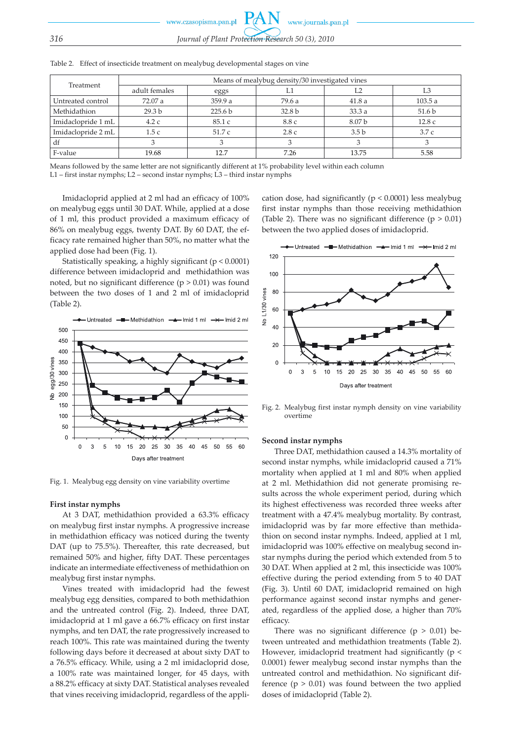|                    | Means of mealybug density/30 investigated vines |                    |                   |                   |                   |  |  |  |  |  |
|--------------------|-------------------------------------------------|--------------------|-------------------|-------------------|-------------------|--|--|--|--|--|
| Treatment          | adult females                                   | eggs               |                   | L2                |                   |  |  |  |  |  |
| Untreated control  | 72.07 a                                         | 359.9 a            | 79.6 a            | 41.8a             | 103.5a            |  |  |  |  |  |
| Methidathion       | 29.3 <sub>b</sub>                               | 225.6 <sub>b</sub> | 32.8 <sub>b</sub> | 33.3a             | 51.6 <sub>b</sub> |  |  |  |  |  |
| Imidaclopride 1 mL | 4.2c                                            | 85.1 c             | 8.8 c             | 8.07 <sub>b</sub> | 12.8c             |  |  |  |  |  |
| Imidaclopride 2 mL | 1.5c                                            | 51.7c              | 2.8c              | 3.5 <sub>b</sub>  | 3.7c              |  |  |  |  |  |
| df                 |                                                 |                    |                   |                   |                   |  |  |  |  |  |
| F-value            | 19.68                                           | 12.7               | 7.26              | 13.75             | 5.58              |  |  |  |  |  |

Table 2. Effect of insecticide treatment on mealybug developmental stages on vine

Means followed by the same letter are not significantly different at 1% probability level within each column

L1 – first instar nymphs; L2 – second instar nymphs; L3 – third instar nymphs

Imidacloprid applied at 2 ml had an efficacy of 100% on mealybug eggs until 30 DAT. While, applied at a dose of 1 ml, this product provided a maximum efficacy of 86% on mealybug eggs, twenty DAT. By 60 DAT, the efficacy rate remained higher than 50%, no matter what the applied dose had been (Fig. 1).

Statistically speaking, a highly significant (p < 0.0001) difference between imidacloprid and methidathion was noted, but no significant difference  $(p > 0.01)$  was found between the two doses of 1 and 2 ml of imidacloprid (Table 2).



Fig. 1. Mealybug egg density on vine variability overtime

#### **First instar nymphs**

At 3 DAT, methidathion provided a 63.3% efficacy on mealybug first instar nymphs. A progressive increase in methidathion efficacy was noticed during the twenty DAT (up to 75.5%). Thereafter, this rate decreased, but remained 50% and higher, fifty DAT. These percentages indicate an intermediate effectiveness of methidathion on mealybug first instar nymphs.

Vines treated with imidacloprid had the fewest mealybug egg densities, compared to both methidathion and the untreated control (Fig. 2). Indeed, three DAT, imidacloprid at 1 ml gave a 66.7% efficacy on first instar nymphs, and ten DAT, the rate progressively increased to reach 100%. This rate was maintained during the twenty following days before it decreased at about sixty DAT to a 76.5% efficacy. While, using a 2 ml imidacloprid dose, a 100% rate was maintained longer, for 45 days, with a 88.2% efficacy at sixty DAT. Statistical analyses revealed that vines receiving imidacloprid, regardless of the application dose, had significantly ( $p < 0.0001$ ) less mealybug first instar nymphs than those receiving methidathion (Table 2). There was no significant difference  $(p > 0.01)$ between the two applied doses of imidacloprid.



Fig. 2. Mealybug first instar nymph density on vine variability overtime

#### **Second instar nymphs**

Three DAT, methidathion caused a 14.3% mortality of second instar nymphs, while imidacloprid caused a 71% mortality when applied at 1 ml and 80% when applied at 2 ml. Methidathion did not generate promising results across the whole experiment period, during which its highest effectiveness was recorded three weeks after treatment with a 47.4% mealybug mortality. By contrast, imidacloprid was by far more effective than methidathion on second instar nymphs. Indeed, applied at 1 ml, imidacloprid was 100% effective on mealybug second instar nymphs during the period which extended from 5 to 30 DAT. When applied at 2 ml, this insecticide was 100% effective during the period extending from 5 to 40 DAT (Fig. 3). Until 60 DAT, imidacloprid remained on high performance against second instar nymphs and generated, regardless of the applied dose, a higher than 70% efficacy.

There was no significant difference  $(p > 0.01)$  between untreated and methidathion treatments (Table 2). However, imidacloprid treatment had significantly (p < 0.0001) fewer mealybug second instar nymphs than the untreated control and methidathion. No significant difference  $(p > 0.01)$  was found between the two applied doses of imidacloprid (Table 2).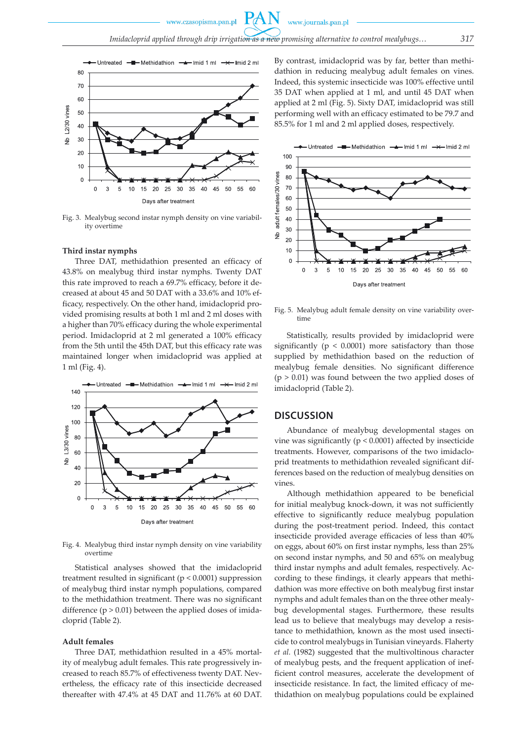www.czasopisma.pan.pl



Fig. 3. Mealybug second instar nymph density on vine variability overtime

#### **Third instar nymphs**

Three DAT, methidathion presented an efficacy of 43.8% on mealybug third instar nymphs. Twenty DAT this rate improved to reach a 69.7% efficacy, before it decreased at about 45 and 50 DAT with a 33.6% and 10% efficacy, respectively. On the other hand, imidacloprid provided promising results at both 1 ml and 2 ml doses with a higher than 70% efficacy during the whole experimental period. Imidacloprid at 2 ml generated a 100% efficacy from the 5th until the 45th DAT, but this efficacy rate was maintained longer when imidacloprid was applied at 1 ml (Fig. 4).



Fig. 4. Mealybug third instar nymph density on vine variability overtime

Statistical analyses showed that the imidacloprid treatment resulted in significant (p < 0.0001) suppression of mealybug third instar nymph populations, compared to the methidathion treatment. There was no significant difference  $(p > 0.01)$  between the applied doses of imidacloprid (Table 2).

#### **Adult females**

Three DAT, methidathion resulted in a 45% mortality of mealybug adult females. This rate progressively increased to reach 85.7% of effectiveness twenty DAT. Nevertheless, the efficacy rate of this insecticide decreased thereafter with 47.4% at 45 DAT and 11.76% at 60 DAT. By contrast, imidacloprid was by far, better than methidathion in reducing mealybug adult females on vines. Indeed, this systemic insecticide was 100% effective until 35 DAT when applied at 1 ml, and until 45 DAT when applied at 2 ml (Fig. 5). Sixty DAT, imidacloprid was still performing well with an efficacy estimated to be 79.7 and 85.5% for 1 ml and 2 ml applied doses, respectively.



Fig. 5. Mealybug adult female density on vine variability overtime

Statistically, results provided by imidacloprid were significantly ( $p < 0.0001$ ) more satisfactory than those supplied by methidathion based on the reduction of mealybug female densities. No significant difference  $(p > 0.01)$  was found between the two applied doses of imidacloprid (Table 2).

## **DISCUSSION**

Abundance of mealybug developmental stages on vine was significantly ( $p < 0.0001$ ) affected by insecticide treatments. However, comparisons of the two imidacloprid treatments to methidathion revealed significant differences based on the reduction of mealybug densities on vines.

Although methidathion appeared to be beneficial for initial mealybug knock-down, it was not sufficiently effective to significantly reduce mealybug population during the post-treatment period. Indeed, this contact insecticide provided average efficacies of less than 40% on eggs, about 60% on first instar nymphs, less than 25% on second instar nymphs, and 50 and 65% on mealybug third instar nymphs and adult females, respectively. According to these findings, it clearly appears that methidathion was more effective on both mealybug first instar nymphs and adult females than on the three other mealybug developmental stages. Furthermore, these results lead us to believe that mealybugs may develop a resistance to methidathion, known as the most used insecticide to control mealybugs in Tunisian vineyards. Flaherty *et al.* (1982) suggested that the multivoltinous character of mealybug pests, and the frequent application of inefficient control measures, accelerate the development of insecticide resistance. In fact, the limited efficacy of methidathion on mealybug populations could be explained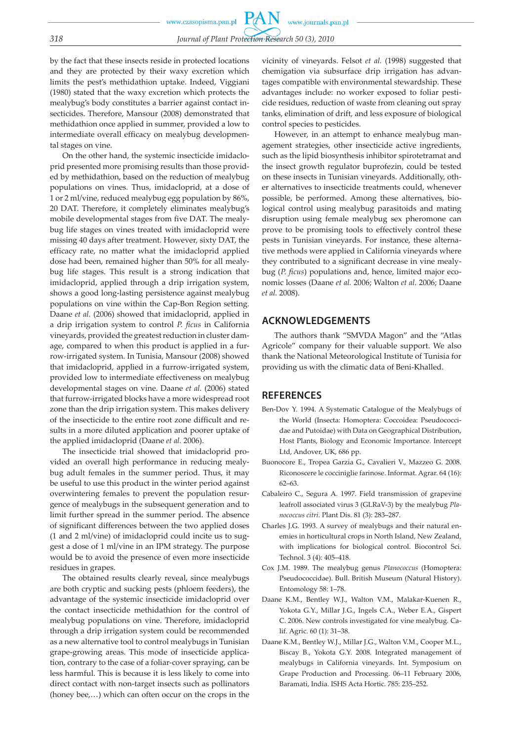by the fact that these insects reside in protected locations and they are protected by their waxy excretion which limits the pest's methidathion uptake. Indeed, Viggiani (1980) stated that the waxy excretion which protects the mealybug's body constitutes a barrier against contact insecticides. Therefore, Mansour (2008) demonstrated that methidathion once applied in summer, provided a low to intermediate overall efficacy on mealybug developmental stages on vine.

On the other hand, the systemic insecticide imidacloprid presented more promising results than those provided by methidathion, based on the reduction of mealybug populations on vines*.* Thus, imidacloprid, at a dose of 1 or 2 ml/vine, reduced mealybug egg population by 86%, 20 DAT. Therefore, it completely eliminates mealybug's mobile developmental stages from five DAT. The mealybug life stages on vines treated with imidacloprid were missing 40 days after treatment. However, sixty DAT, the efficacy rate, no matter what the imidacloprid applied dose had been, remained higher than 50% for all mealybug life stages. This result is a strong indication that imidacloprid, applied through a drip irrigation system, shows a good long-lasting persistence against mealybug populations on vine within the Cap-Bon Region setting*.*  Daane *et al.* (2006) showed that imidacloprid, applied in a drip irrigation system to control *P. ficus* in California vineyards, provided the greatest reduction in cluster damage, compared to when this product is applied in a furrow-irrigated system. In Tunisia, Mansour (2008) showed that imidacloprid, applied in a furrow-irrigated system, provided low to intermediate effectiveness on mealybug developmental stages on vine. Daane *et al.* (2006) stated that furrow-irrigated blocks have a more widespread root zone than the drip irrigation system. This makes delivery of the insecticide to the entire root zone difficult and results in a more diluted application and poorer uptake of the applied imidacloprid (Daane *et al.* 2006).

The insecticide trial showed that imidacloprid provided an overall high performance in reducing mealybug adult females in the summer period. Thus, it may be useful to use this product in the winter period against overwintering females to prevent the population resurgence of mealybugs in the subsequent generation and to limit further spread in the summer period. The absence of significant differences between the two applied doses (1 and 2 ml/vine) of imidacloprid could incite us to suggest a dose of 1 ml/vine in an IPM strategy. The purpose would be to avoid the presence of even more insecticide residues in grapes.

The obtained results clearly reveal, since mealybugs are both cryptic and sucking pests (phloem feeders), the advantage of the systemic insecticide imidacloprid over the contact insecticide methidathion for the control of mealybug populations on vine. Therefore, imidacloprid through a drip irrigation system could be recommended as a new alternative tool to control mealybugs in Tunisian grape-growing areas. This mode of insecticide application, contrary to the case of a foliar-cover spraying, can be less harmful. This is because it is less likely to come into direct contact with non-target insects such as pollinators (honey bee,…) which can often occur on the crops in the vicinity of vineyards. Felsot *et al.* (1998) suggested that chemigation via subsurface drip irrigation has advantages compatible with environmental stewardship. These advantages include: no worker exposed to foliar pesticide residues, reduction of waste from cleaning out spray tanks, elimination of drift, and less exposure of biological control species to pesticides.

However, in an attempt to enhance mealybug management strategies, other insecticide active ingredients, such as the lipid biosynthesis inhibitor spirotetramat and the insect growth regulator buprofezin, could be tested on these insects in Tunisian vineyards. Additionally, other alternatives to insecticide treatments could, whenever possible, be performed. Among these alternatives, biological control using mealybug parasitoids and mating disruption using female mealybug sex pheromone can prove to be promising tools to effectively control these pests in Tunisian vineyards. For instance, these alternative methods were applied in California vineyards where they contributed to a significant decrease in vine mealybug (*P. ficus*) populations and, hence, limited major economic losses (Daane *et al.* 2006; Walton *et al.* 2006; Daane *et al.* 2008).

## **ACKNOWLEDGEMENTS**

The authors thank "SMVDA Magon" and the "Atlas Agricole" company for their valuable support. We also thank the National Meteorological Institute of Tunisia for providing us with the climatic data of Beni-Khalled.

## **REFERENCES**

- Ben-Dov Y. 1994. A Systematic Catalogue of the Mealybugs of the World (Insecta: Homoptera: Coccoidea: Pseudococcidae and Putoidae) with Data on Geographical Distribution, Host Plants, Biology and Economic Importance. Intercept Ltd, Andover, UK, 686 pp.
- Buonocore E., Tropea Garzia G., Cavalieri V., Mazzeo G. 2008. Riconoscere le cocciniglie farinose. Informat. Agrar. 64 (16): 62–63.
- Cabaleiro C., Segura A. 1997. Field transmission of grapevine leafroll associated virus 3 (GLRaV-3) by the mealybug *Planococcus citri*. Plant Dis. 81 (3): 283–287.
- Charles J.G. 1993. A survey of mealybugs and their natural enemies in horticultural crops in North Island, New Zealand, with implications for biological control. Biocontrol Sci. Technol. 3 (4): 405–418.
- Cox J.M. 1989. The mealybug genus *Planococcus* (Homoptera: Pseudococcidae). Bull. British Museum (Natural History). Entomology 58: 1–78.
- Daane K.M., Bentley W.J., Walton V.M., Malakar-Kuenen R., Yokota G.Y., Millar J.G., Ingels C.A., Weber E.A., Gispert C. 2006. New controls investigated for vine mealybug. Calif. Agric. 60 (1): 31–38.
- Daane K.M., Bentley W.J., Millar J.G., Walton V.M., Cooper M.L., Biscay B., Yokota G.Y. 2008. Integrated management of mealybugs in California vineyards. Int. Symposium on Grape Production and Processing. 06–11 February 2006, Baramati, India. ISHS Acta Hortic. 785: 235–252.